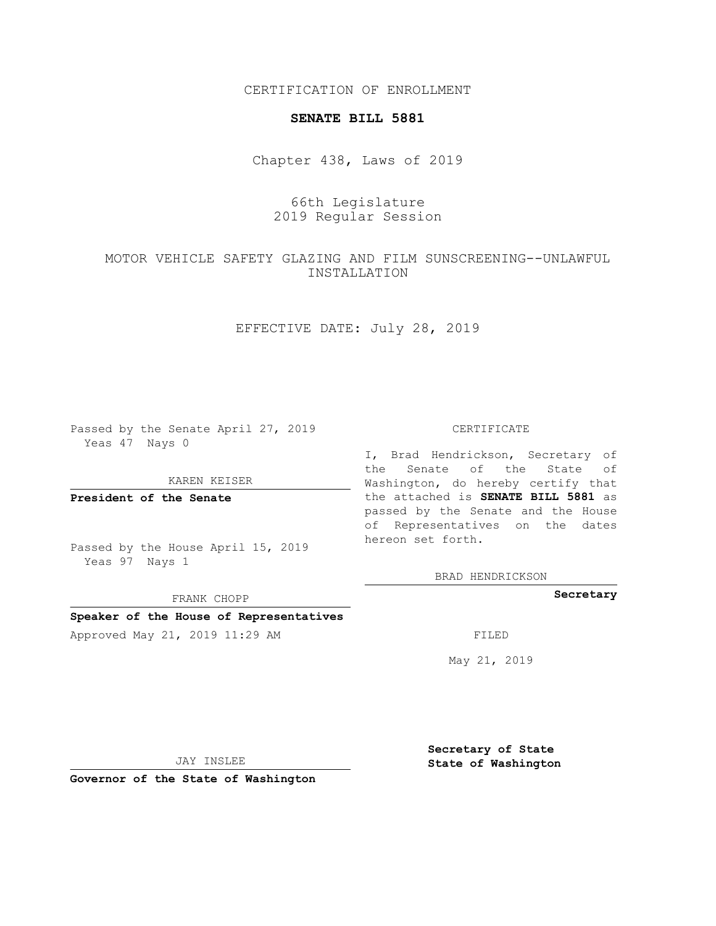CERTIFICATION OF ENROLLMENT

## **SENATE BILL 5881**

Chapter 438, Laws of 2019

# 66th Legislature 2019 Regular Session

# MOTOR VEHICLE SAFETY GLAZING AND FILM SUNSCREENING--UNLAWFUL INSTALLATION

## EFFECTIVE DATE: July 28, 2019

Passed by the Senate April 27, 2019 Yeas 47 Nays 0

#### KAREN KEISER

**President of the Senate**

Passed by the House April 15, 2019 Yeas 97 Nays 1

FRANK CHOPP

## **Speaker of the House of Representatives**

Approved May 21, 2019 11:29 AM FILED

#### CERTIFICATE

I, Brad Hendrickson, Secretary of the Senate of the State of Washington, do hereby certify that the attached is **SENATE BILL 5881** as passed by the Senate and the House of Representatives on the dates hereon set forth.

BRAD HENDRICKSON

## **Secretary**

May 21, 2019

JAY INSLEE

**Governor of the State of Washington**

**Secretary of State State of Washington**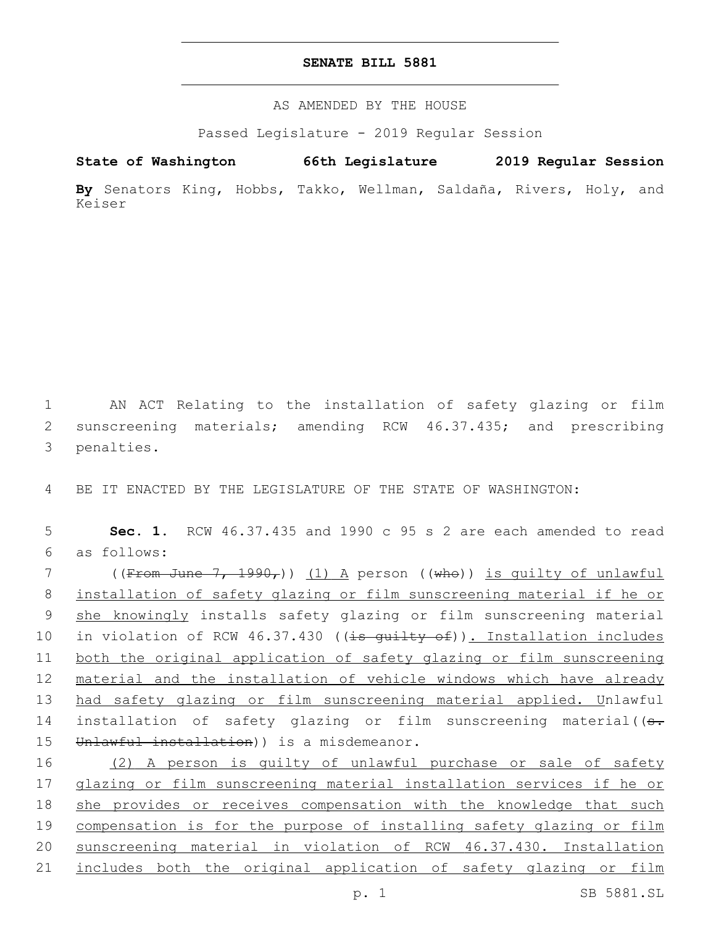## **SENATE BILL 5881**

AS AMENDED BY THE HOUSE

Passed Legislature - 2019 Regular Session

**State of Washington 66th Legislature 2019 Regular Session**

**By** Senators King, Hobbs, Takko, Wellman, Saldaña, Rivers, Holy, and Keiser

1 AN ACT Relating to the installation of safety glazing or film 2 sunscreening materials; amending RCW 46.37.435; and prescribing 3 penalties.

4 BE IT ENACTED BY THE LEGISLATURE OF THE STATE OF WASHINGTON:

5 **Sec. 1.** RCW 46.37.435 and 1990 c 95 s 2 are each amended to read as follows:6

7 ((From June 7, 1990,)) (1) A person ((who)) is quilty of unlawful 8 installation of safety glazing or film sunscreening material if he or 9 she knowingly installs safety glazing or film sunscreening material 10 in violation of RCW 46.37.430 ((is guilty of)). Installation includes 11 both the original application of safety glazing or film sunscreening 12 material and the installation of vehicle windows which have already 13 had safety glazing or film sunscreening material applied. Unlawful 14 installation of safety glazing or film sunscreening material((s. 15 Unlawful installation) ) is a misdemeanor.

16 (2) A person is quilty of unlawful purchase or sale of safety glazing or film sunscreening material installation services if he or she provides or receives compensation with the knowledge that such compensation is for the purpose of installing safety glazing or film sunscreening material in violation of RCW 46.37.430. Installation 21 includes both the original application of safety glazing or film